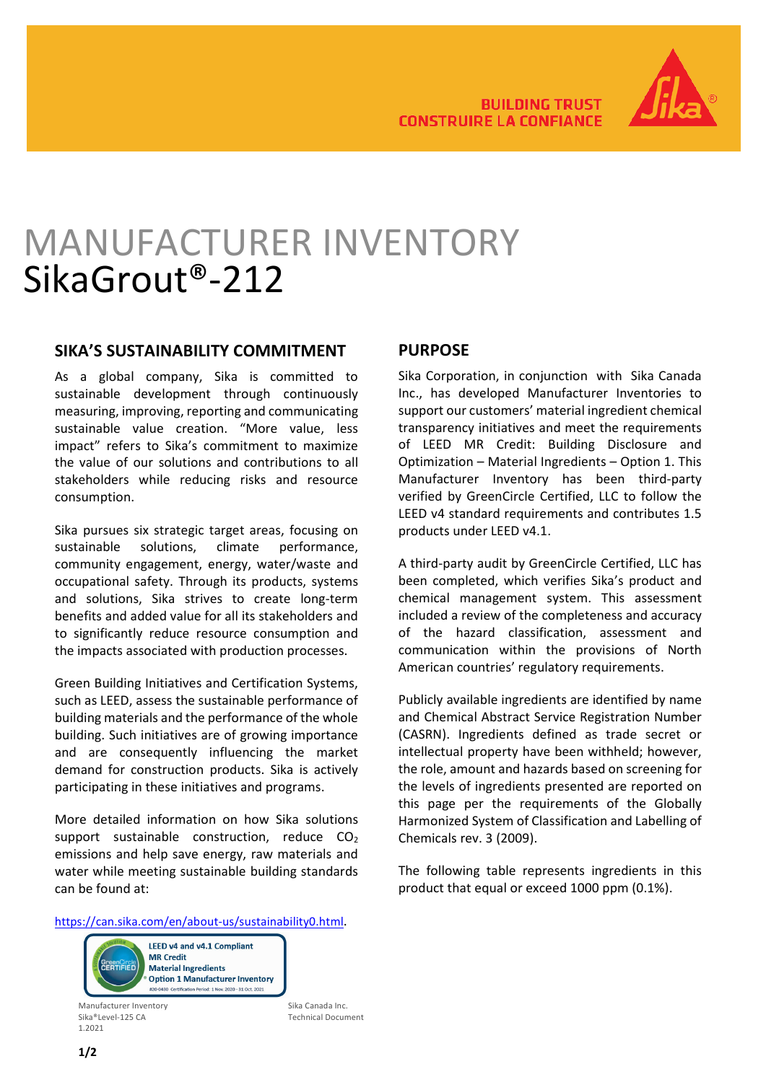

# MANUFACTURER INVENTORY SikaGrout®-212

### **SIKA'S SUSTAINABILITY COMMITMENT**

As a global company, Sika is committed to sustainable development through continuously measuring, improving, reporting and communicating sustainable value creation. "More value, less impact" refers to Sika's commitment to maximize the value of our solutions and contributions to all stakeholders while reducing risks and resource consumption.

Sika pursues six strategic target areas, focusing on sustainable solutions, climate performance, community engagement, energy, water/waste and occupational safety. Through its products, systems and solutions, Sika strives to create long-term benefits and added value for all its stakeholders and to significantly reduce resource consumption and the impacts associated with production processes.

Green Building Initiatives and Certification Systems, such as LEED, assess the sustainable performance of building materials and the performance of the whole building. Such initiatives are of growing importance and are consequently influencing the market demand for construction products. Sika is actively participating in these initiatives and programs.

More detailed information on how Sika solutions support sustainable construction, reduce  $CO<sub>2</sub>$ emissions and help save energy, raw materials and water while meeting sustainable building standards can be found at:

## **PURPOSE**

Sika Corporation, in conjunction with Sika Canada Inc., has developed Manufacturer Inventories to support our customers' material ingredient chemical transparency initiatives and meet the requirements of LEED MR Credit: Building Disclosure and Optimization – Material Ingredients – Option 1. This Manufacturer Inventory has been third-party verified by GreenCircle Certified, LLC to follow the LEED v4 standard requirements and contributes 1.5 products under LEED v4.1.

A third-party audit by GreenCircle Certified, LLC has been completed, which verifies Sika's product and chemical management system. This assessment included a review of the completeness and accuracy of the hazard classification, assessment and communication within the provisions of North American countries' regulatory requirements.

Publicly available ingredients are identified by name and Chemical Abstract Service Registration Number (CASRN). Ingredients defined as trade secret or intellectual property have been withheld; however, the role, amount and hazards based on screening for the levels of ingredients presented are reported on this page per the requirements of the Globally Harmonized System of Classification and Labelling of Chemicals rev. 3 (2009).

The following table represents ingredients in this product that equal or exceed 1000 ppm (0.1%).

[https://can.sika.com/en/about-us/sustainability0.html.](https://can.sika.com/en/about-us/sustainability0.html)



Manufacturer Inventory<br>Sika Canada Inc. Sika Canada Inc. Sika Canada Inc. Sika Central Document Sika Canada Inc. 1.2021

Technical Document